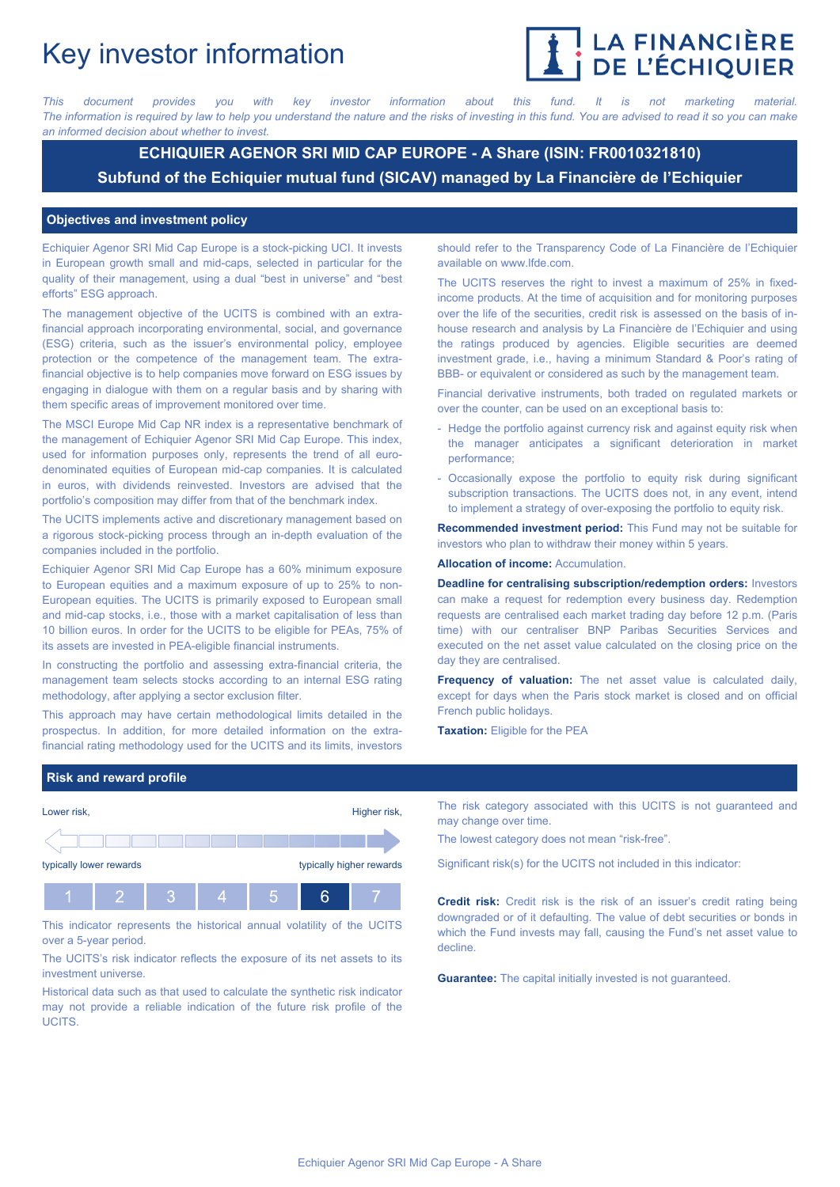# Key investor information



*This document provides you with key investor information about this fund. It is not marketing material.* The information is required by law to help you understand the nature and the risks of investing in this fund. You are advised to read it so you can make *an informed decision about whether to invest.*

## **ECHIQUIER AGENOR SRI MID CAP EUROPE - A Share (ISIN: FR0010321810) Subfund of the Echiquier mutual fund (SICAV) managed by La Financière de l'Echiquier**

### **Objectives and investment policy**

Echiquier Agenor SRI Mid Cap Europe is a stock-picking UCI. It invests in European growth small and mid-caps, selected in particular for the quality of their management, using a dual "best in universe" and "best efforts" ESG approach.

The management objective of the UCITS is combined with an extrafinancial approach incorporating environmental, social, and governance (ESG) criteria, such as the issuer's environmental policy, employee protection or the competence of the management team. The extrafinancial objective is to help companies move forward on ESG issues by engaging in dialogue with them on a regular basis and by sharing with them specific areas of improvement monitored over time.

The MSCI Europe Mid Cap NR index is a representative benchmark of the management of Echiquier Agenor SRI Mid Cap Europe. This index, used for information purposes only, represents the trend of all eurodenominated equities of European mid-cap companies. It is calculated in euros, with dividends reinvested. Investors are advised that the portfolio's composition may differ from that of the benchmark index.

The UCITS implements active and discretionary management based on a rigorous stock-picking process through an in-depth evaluation of the companies included in the portfolio.

Echiquier Agenor SRI Mid Cap Europe has a 60% minimum exposure to European equities and a maximum exposure of up to 25% to non-European equities. The UCITS is primarily exposed to European small and mid-cap stocks, i.e., those with a market capitalisation of less than 10 billion euros. In order for the UCITS to be eligible for PEAs, 75% of its assets are invested in PEA-eligible financial instruments.

In constructing the portfolio and assessing extra-financial criteria, the management team selects stocks according to an internal ESG rating methodology, after applying a sector exclusion filter.

This approach may have certain methodological limits detailed in the prospectus. In addition, for more detailed information on the extrafinancial rating methodology used for the UCITS and its limits, investors

should refer to the Transparency Code of La Financière de l'Echiquier available on www.lfde.com.

The UCITS reserves the right to invest a maximum of 25% in fixedincome products. At the time of acquisition and for monitoring purposes over the life of the securities, credit risk is assessed on the basis of inhouse research and analysis by La Financière de l'Echiquier and using the ratings produced by agencies. Eligible securities are deemed investment grade, i.e., having a minimum Standard & Poor's rating of BBB- or equivalent or considered as such by the management team.

Financial derivative instruments, both traded on regulated markets or over the counter, can be used on an exceptional basis to:

- Hedge the portfolio against currency risk and against equity risk when the manager anticipates a significant deterioration in market performance;
- Occasionally expose the portfolio to equity risk during significant subscription transactions. The UCITS does not, in any event, intend to implement a strategy of over-exposing the portfolio to equity risk.

**Recommended investment period:** This Fund may not be suitable for investors who plan to withdraw their money within 5 years.

### **Allocation of income:** Accumulation.

**Deadline for centralising subscription/redemption orders:** Investors can make a request for redemption every business day. Redemption requests are centralised each market trading day before 12 p.m. (Paris time) with our centraliser BNP Paribas Securities Services and executed on the net asset value calculated on the closing price on the day they are centralised.

**Frequency of valuation:** The net asset value is calculated daily, except for days when the Paris stock market is closed and on official French public holidays.

**Taxation:** Eligible for the PEA

### **Risk and reward profile**



This indicator represents the historical annual volatility of the UCITS over a 5-year period.

The UCITS's risk indicator reflects the exposure of its net assets to its investment universe.

Historical data such as that used to calculate the synthetic risk indicator may not provide a reliable indication of the future risk profile of the UCITS.

The risk category associated with this UCITS is not guaranteed and may change over time.

The lowest category does not mean "risk-free".

Significant risk(s) for the UCITS not included in this indicator:

**Credit risk:** Credit risk is the risk of an issuer's credit rating being downgraded or of it defaulting. The value of debt securities or bonds in which the Fund invests may fall, causing the Fund's net asset value to decline.

**Guarantee:** The capital initially invested is not guaranteed.